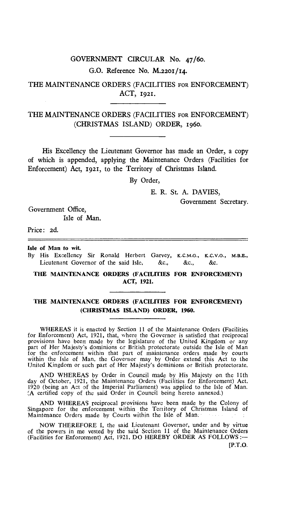# GOVERNMENT CIRCULAR No. 47/60. G.O. Reference No. M.2201/14.

## THE MAINTENANCE ORDERS (FACILITIES FOR ENFORCEMENT) ACT, 1921.

## THE MAINTENANCE ORDERS (FACILITIES FOR ENFORCEMENT) (CHRISTMAS ISLAND) ORDER, 1960.

His Excellency the Lieutenant Governor has made an Order, a copy of which is appended, applying the Maintenance Orders (Facilities for Enforcement) Act, 1921, to the Territory of Christmas Island.

By Order,

E. R. St. A. DAVIES,

Government Secretary.

Government Office, Isle of Man.

Price: 2d.

**Isle of Man to wit.** 

By His Excellency Sir Ronald Herbert Garvey, K.C.M.G., K.C.V.O., M.B.E., Lieutenant Governor of the said Isle, &c., &c., &c.

**THE MAINTENANCE ORDERS (FACILITIES FOR ENFORCEMENT) ACT, 1921.** 

### **THE MAINTENANCE ORDERS (FACILITIES FOR ENFORCEMENT) (CHRISTMAS ISLAND) ORDER, 1960.**

WHEREAS it is enacted by Section 11 of the Maintenance Orders (Facilities for Enforcement) Act, 1921, that, where the Governor is satisfied that reciprocal provisions have been made by the legislature of the United Kingdom or any part of Her Majesty's dominions or British protectorate outside the Isle of Man for the enforcement within that part of maintenance orders made by courts within the Isle of Man, the Governor may by Order extend this Act to the United Kingdom or such part of Her Majesty's dominions or British protectorate.

AND WHEREAS by Order in Council made by His Majesty on the 11th day of October, 1921, the Maintenance Orders (Facilities for Enforcement) Act. 1920 (being an Act of the Imperial Parliament) was applied to the Isle of Man. (A certified copy of the said Order in Council being hereto annexed.)

**AND** WHEREAS reciprocal provisions have been made by the Colony of Singapore for the enforcement within the Territory of Christmas Island of Maintenance Orders made by Courts within the Isle of Man.

NOW THEREFORE I, the said Lieutenant Governor, under and by virtue of the powers in me vested by the said Section 11 of the Maintenance Orders (Facilities for Enforcement) Act, 1921, DO HEREBY ORDER AS FOLLOWS :—

[P.T.O.